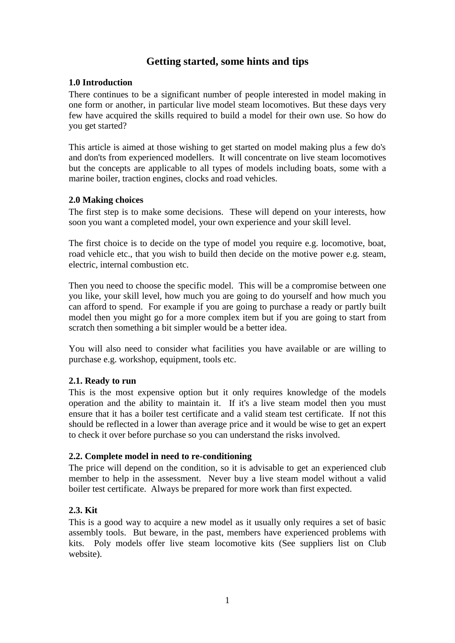# **Getting started, some hints and tips**

## **1.0 Introduction**

There continues to be a significant number of people interested in model making in one form or another, in particular live model steam locomotives. But these days very few have acquired the skills required to build a model for their own use. So how do you get started?

This article is aimed at those wishing to get started on model making plus a few do's and don'ts from experienced modellers. It will concentrate on live steam locomotives but the concepts are applicable to all types of models including boats, some with a marine boiler, traction engines, clocks and road vehicles.

## **2.0 Making choices**

The first step is to make some decisions. These will depend on your interests, how soon you want a completed model, your own experience and your skill level.

The first choice is to decide on the type of model you require e.g. locomotive, boat, road vehicle etc., that you wish to build then decide on the motive power e.g. steam, electric, internal combustion etc.

Then you need to choose the specific model. This will be a compromise between one you like, your skill level, how much you are going to do yourself and how much you can afford to spend. For example if you are going to purchase a ready or partly built model then you might go for a more complex item but if you are going to start from scratch then something a bit simpler would be a better idea.

You will also need to consider what facilities you have available or are willing to purchase e.g. workshop, equipment, tools etc.

#### **2.1. Ready to run**

This is the most expensive option but it only requires knowledge of the models operation and the ability to maintain it. If it's a live steam model then you must ensure that it has a boiler test certificate and a valid steam test certificate. If not this should be reflected in a lower than average price and it would be wise to get an expert to check it over before purchase so you can understand the risks involved.

#### **2.2. Complete model in need to re-conditioning**

The price will depend on the condition, so it is advisable to get an experienced club member to help in the assessment. Never buy a live steam model without a valid boiler test certificate. Always be prepared for more work than first expected.

### **2.3. Kit**

This is a good way to acquire a new model as it usually only requires a set of basic assembly tools. But beware, in the past, members have experienced problems with kits. Poly models offer live steam locomotive kits (See suppliers list on Club website).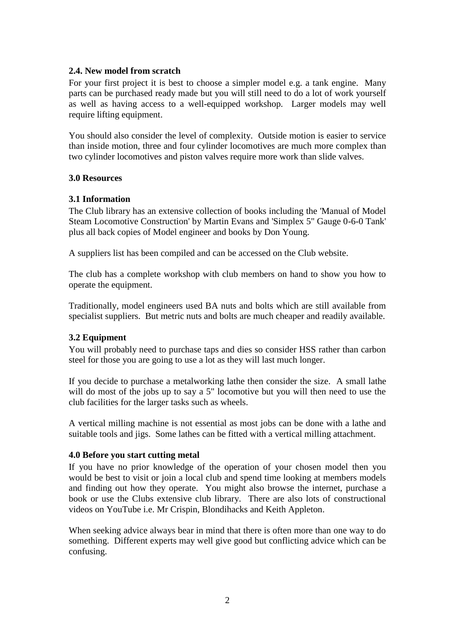### **2.4. New model from scratch**

For your first project it is best to choose a simpler model e.g. a tank engine. Many parts can be purchased ready made but you will still need to do a lot of work yourself as well as having access to a well-equipped workshop. Larger models may well require lifting equipment.

You should also consider the level of complexity. Outside motion is easier to service than inside motion, three and four cylinder locomotives are much more complex than two cylinder locomotives and piston valves require more work than slide valves.

#### **3.0 Resources**

## **3.1 Information**

The Club library has an extensive collection of books including the 'Manual of Model Steam Locomotive Construction' by Martin Evans and 'Simplex 5" Gauge 0-6-0 Tank' plus all back copies of Model engineer and books by Don Young.

A suppliers list has been compiled and can be accessed on the Club website.

The club has a complete workshop with club members on hand to show you how to operate the equipment.

Traditionally, model engineers used BA nuts and bolts which are still available from specialist suppliers. But metric nuts and bolts are much cheaper and readily available.

# **3.2 Equipment**

You will probably need to purchase taps and dies so consider HSS rather than carbon steel for those you are going to use a lot as they will last much longer.

If you decide to purchase a metalworking lathe then consider the size. A small lathe will do most of the jobs up to say a 5" locomotive but you will then need to use the club facilities for the larger tasks such as wheels.

A vertical milling machine is not essential as most jobs can be done with a lathe and suitable tools and jigs. Some lathes can be fitted with a vertical milling attachment.

#### **4.0 Before you start cutting metal**

If you have no prior knowledge of the operation of your chosen model then you would be best to visit or join a local club and spend time looking at members models and finding out how they operate. You might also browse the internet, purchase a book or use the Clubs extensive club library. There are also lots of constructional videos on YouTube i.e. Mr Crispin, Blondihacks and Keith Appleton.

When seeking advice always bear in mind that there is often more than one way to do something. Different experts may well give good but conflicting advice which can be confusing.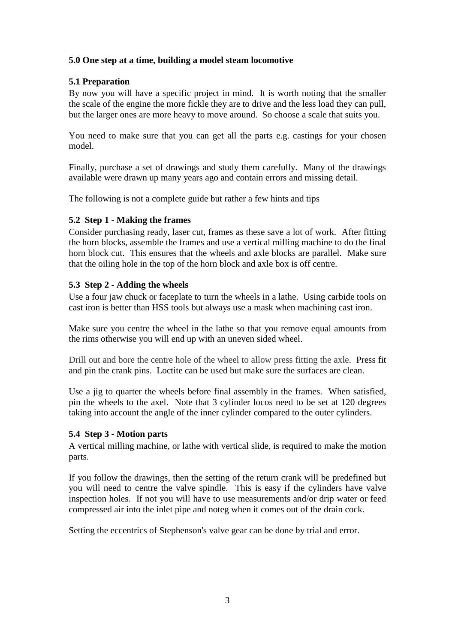# **5.0 One step at a time, building a model steam locomotive**

## **5.1 Preparation**

By now you will have a specific project in mind. It is worth noting that the smaller the scale of the engine the more fickle they are to drive and the less load they can pull, but the larger ones are more heavy to move around. So choose a scale that suits you.

You need to make sure that you can get all the parts e.g. castings for your chosen model.

Finally, purchase a set of drawings and study them carefully. Many of the drawings available were drawn up many years ago and contain errors and missing detail.

The following is not a complete guide but rather a few hints and tips

## **5.2 Step 1 - Making the frames**

Consider purchasing ready, laser cut, frames as these save a lot of work. After fitting the horn blocks, assemble the frames and use a vertical milling machine to do the final horn block cut. This ensures that the wheels and axle blocks are parallel. Make sure that the oiling hole in the top of the horn block and axle box is off centre.

## **5.3 Step 2 - Adding the wheels**

Use a four jaw chuck or faceplate to turn the wheels in a lathe. Using carbide tools on cast iron is better than HSS tools but always use a mask when machining cast iron.

Make sure you centre the wheel in the lathe so that you remove equal amounts from the rims otherwise you will end up with an uneven sided wheel.

Drill out and bore the centre hole of the wheel to allow press fitting the axle. Press fit and pin the crank pins. Loctite can be used but make sure the surfaces are clean.

Use a just to quarter the wheels before final assembly in the frames. When satisfied, pin the wheels to the axel. Note that 3 cylinder locos need to be set at 120 degrees taking into account the angle of the inner cylinder compared to the outer cylinders.

#### **5.4 Step 3 - Motion parts**

A vertical milling machine, or lathe with vertical slide, is required to make the motion parts.

If you follow the drawings, then the setting of the return crank will be predefined but you will need to centre the valve spindle. This is easy if the cylinders have valve inspection holes. If not you will have to use measurements and/or drip water or feed compressed air into the inlet pipe and noteg when it comes out of the drain cock.

Setting the eccentrics of Stephenson's valve gear can be done by trial and error.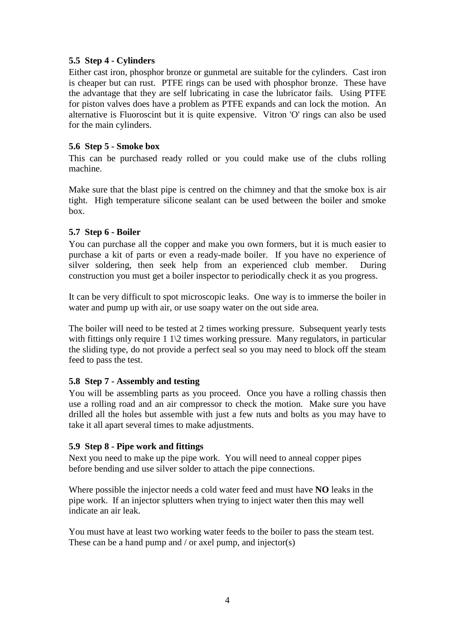# **5.5 Step 4 - Cylinders**

Either cast iron, phosphor bronze or gunmetal are suitable for the cylinders. Cast iron is cheaper but can rust. PTFE rings can be used with phosphor bronze. These have the advantage that they are self lubricating in case the lubricator fails. Using PTFE for piston valves does have a problem as PTFE expands and can lock the motion. An alternative is Fluoroscint but it is quite expensive. Vitron 'O' rings can also be used for the main cylinders.

# **5.6 Step 5 - Smoke box**

This can be purchased ready rolled or you could make use of the clubs rolling machine.

Make sure that the blast pipe is centred on the chimney and that the smoke box is air tight. High temperature silicone sealant can be used between the boiler and smoke box.

# **5.7 Step 6 - Boiler**

You can purchase all the copper and make you own formers, but it is much easier to purchase a kit of parts or even a ready-made boiler. If you have no experience of silver soldering, then seek help from an experienced club member. During construction you must get a boiler inspector to periodically check it as you progress.

It can be very difficult to spot microscopic leaks. One way is to immerse the boiler in water and pump up with air, or use soapy water on the out side area.

The boiler will need to be tested at 2 times working pressure. Subsequent yearly tests with fittings only require 1 1\2 times working pressure. Many regulators, in particular the sliding type, do not provide a perfect seal so you may need to block off the steam feed to pass the test.

# **5.8 Step 7 - Assembly and testing**

You will be assembling parts as you proceed. Once you have a rolling chassis then use a rolling road and an air compressor to check the motion. Make sure you have drilled all the holes but assemble with just a few nuts and bolts as you may have to take it all apart several times to make adjustments.

# **5.9 Step 8 - Pipe work and fittings**

Next you need to make up the pipe work. You will need to anneal copper pipes before bending and use silver solder to attach the pipe connections.

Where possible the injector needs a cold water feed and must have **NO** leaks in the pipe work. If an injector splutters when trying to inject water then this may well indicate an air leak.

You must have at least two working water feeds to the boiler to pass the steam test. These can be a hand pump and / or axel pump, and injector(s)